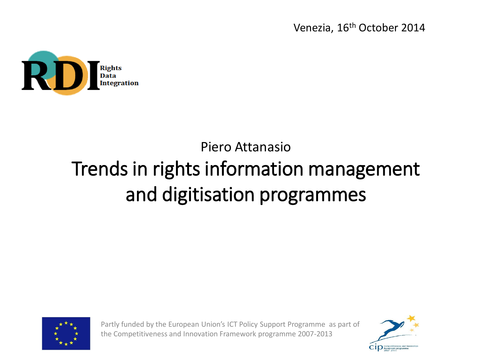Venezia, 16th October 2014



## Piero Attanasio Trends in rights information management and digitisation programmes



Partly funded by the European Union's ICT Policy Support Programme as part of the Competitiveness and Innovation Framework programme 2007-2013

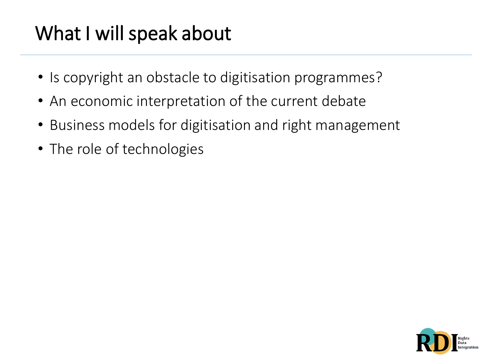# What I will speak about

- Is copyright an obstacle to digitisation programmes?
- An economic interpretation of the current debate
- Business models for digitisation and right management
- The role of technologies

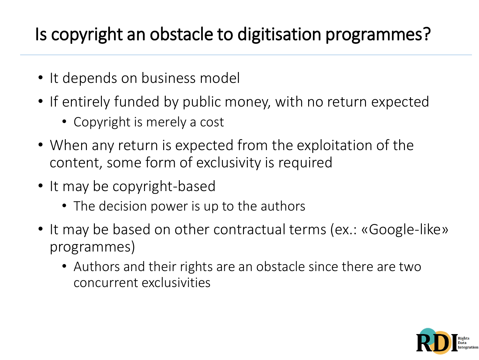### Is copyright an obstacle to digitisation programmes?

- It depends on business model
- If entirely funded by public money, with no return expected
	- Copyright is merely a cost
- When any return is expected from the exploitation of the content, some form of exclusivity is required
- It may be copyright-based
	- The decision power is up to the authors
- It may be based on other contractual terms (ex.: «Google-like» programmes)
	- Authors and their rights are an obstacle since there are two concurrent exclusivities

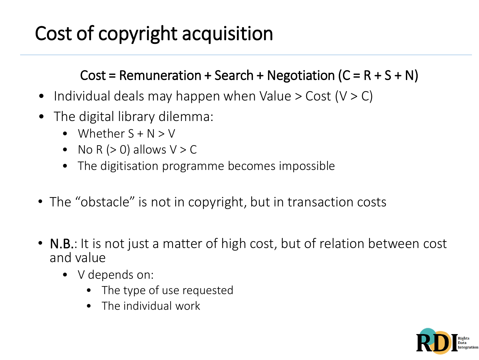## Cost of copyright acquisition

#### Cost = Remuneration + Search + Negotiation  $(C = R + S + N)$

- Individual deals may happen when Value  $>$  Cost (V  $>$  C)
- The digital library dilemma:
	- Whether  $S + N > V$
	- No R  $(> 0)$  allows  $V > C$
	- The digitisation programme becomes impossible
- The "obstacle" is not in copyright, but in transaction costs
- N.B.: It is not just a matter of high cost, but of relation between cost and value
	- V depends on:
		- The type of use requested
		- The individual work

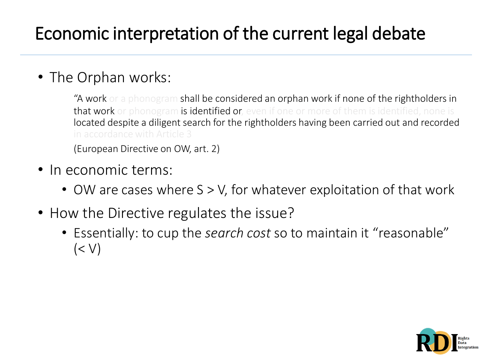### Economic interpretation of the current legal debate

#### • The Orphan works:

"A work or a phonogram shall be considered an orphan work if none of the rightholders in that work or phonogram is identified or, even if one or more of them is identified, none is located despite a diligent search for the rightholders having been carried out and recorded in accordance with Article 3

(European Directive on OW, art. 2)

- In economic terms:
	- OW are cases where S > V, for whatever exploitation of that work
- How the Directive regulates the issue?
	- Essentially: to cup the *search cost* so to maintain it "reasonable"  $(<$   $\vee$ )

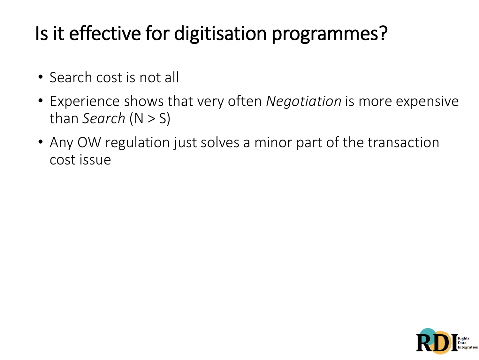## Is it effective for digitisation programmes?

- Search cost is not all
- Experience shows that very often *Negotiation* is more expensive than *Search* (N > S)
- Any OW regulation just solves a minor part of the transaction cost issue

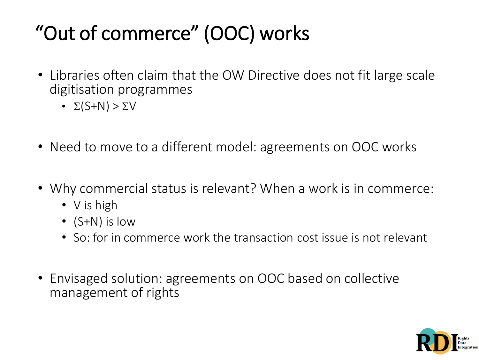# "Out of commerce" (OOC) works

- Libraries often claim that the OW Directive does not fit large scale digitisation programmes
	- $\Sigma(S+N) > \Sigma V$
- Need to move to a different model: agreements on OOC works
- Why commercial status is relevant? When a work is in commerce:
	- V is high
	- (S+N) is low
	- So: for in commerce work the transaction cost issue is not relevant
- Envisaged solution: agreements on OOC based on collective management of rights

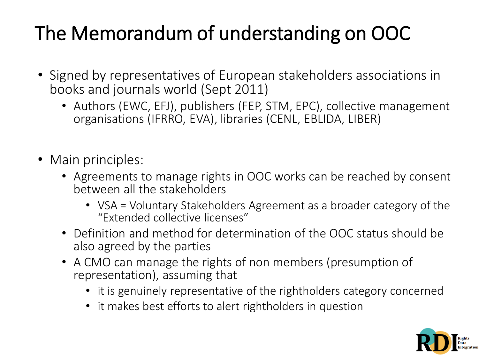# The Memorandum of understanding on OOC

- Signed by representatives of European stakeholders associations in books and journals world (Sept 2011)
	- Authors (EWC, EFJ), publishers (FEP, STM, EPC), collective management organisations (IFRRO, EVA), libraries (CENL, EBLIDA, LIBER)
- Main principles:
	- Agreements to manage rights in OOC works can be reached by consent between all the stakeholders
		- VSA = Voluntary Stakeholders Agreement as a broader category of the "Extended collective licenses"
	- Definition and method for determination of the OOC status should be also agreed by the parties
	- A CMO can manage the rights of non members (presumption of representation), assuming that
		- it is genuinely representative of the rightholders category concerned
		- it makes best efforts to alert rightholders in question

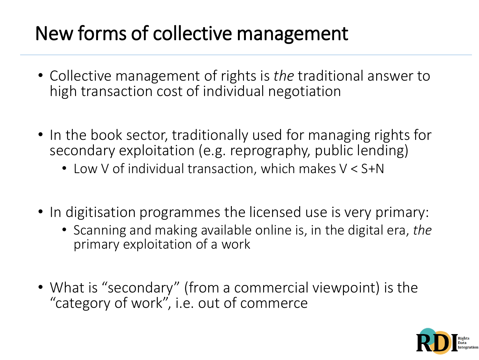## New forms of collective management

- Collective management of rights is *the* traditional answer to high transaction cost of individual negotiation
- In the book sector, traditionally used for managing rights for secondary exploitation (e.g. reprography, public lending)
	- Low V of individual transaction, which makes V < S+N
- In digitisation programmes the licensed use is very primary:
	- Scanning and making available online is, in the digital era, *the*  primary exploitation of a work
- What is "secondary" (from a commercial viewpoint) is the "category of work", i.e. out of commerce

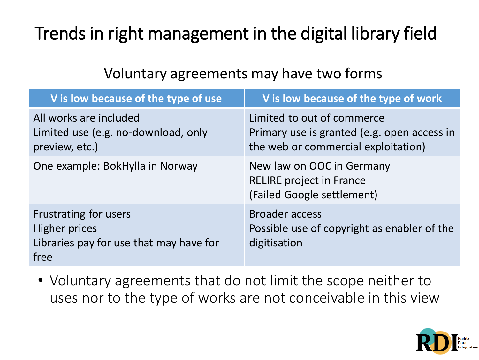### Trends in right management in the digital library field

#### Voluntary agreements may have two forms

| V is low because of the type of use                                                              | V is low because of the type of work                                                                             |
|--------------------------------------------------------------------------------------------------|------------------------------------------------------------------------------------------------------------------|
| All works are included<br>Limited use (e.g. no-download, only<br>preview, etc.)                  | Limited to out of commerce<br>Primary use is granted (e.g. open access in<br>the web or commercial exploitation) |
| One example: BokHylla in Norway                                                                  | New law on OOC in Germany<br><b>RELIRE</b> project in France<br>(Failed Google settlement)                       |
| Frustrating for users<br><b>Higher prices</b><br>Libraries pay for use that may have for<br>free | <b>Broader access</b><br>Possible use of copyright as enabler of the<br>digitisation                             |

• Voluntary agreements that do not limit the scope neither to uses nor to the type of works are not conceivable in this view

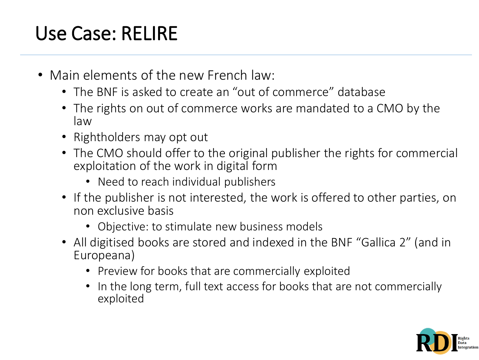# Use Case: RELIRE

- Main elements of the new French law:
	- The BNF is asked to create an "out of commerce" database
	- The rights on out of commerce works are mandated to a CMO by the law
	- Rightholders may opt out
	- The CMO should offer to the original publisher the rights for commercial exploitation of the work in digital form
		- Need to reach individual publishers
	- If the publisher is not interested, the work is offered to other parties, on non exclusive basis
		- Objective: to stimulate new business models
	- All digitised books are stored and indexed in the BNF "Gallica 2" (and in Europeana)
		- Preview for books that are commercially exploited
		- In the long term, full text access for books that are not commercially exploited

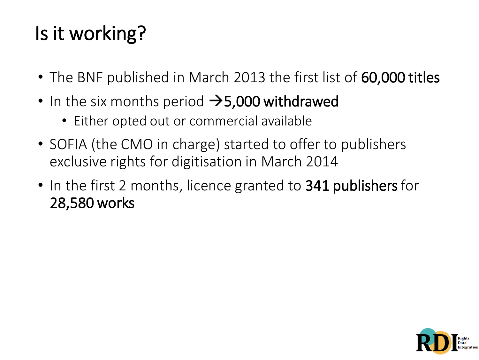# Is it working?

- The BNF published in March 2013 the first list of 60,000 titles
- In the six months period  $\rightarrow$  5,000 withdrawed
	- Either opted out or commercial available
- SOFIA (the CMO in charge) started to offer to publishers exclusive rights for digitisation in March 2014
- In the first 2 months, licence granted to **341 publishers** for 28,580 works

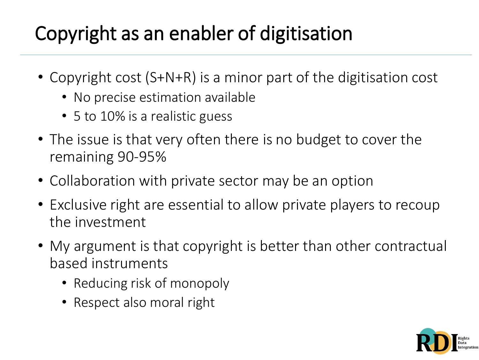# Copyright as an enabler of digitisation

- Copyright cost (S+N+R) is a minor part of the digitisation cost
	- No precise estimation available
	- 5 to 10% is a realistic guess
- The issue is that very often there is no budget to cover the remaining 90-95%
- Collaboration with private sector may be an option
- Exclusive right are essential to allow private players to recoup the investment
- My argument is that copyright is better than other contractual based instruments
	- Reducing risk of monopoly
	- Respect also moral right

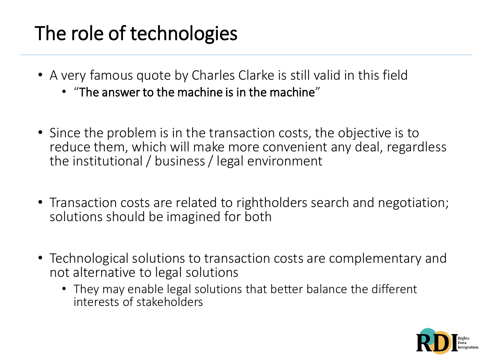## The role of technologies

- A very famous quote by Charles Clarke is still valid in this field
	- "The answer to the machine is in the machine"
- Since the problem is in the transaction costs, the objective is to reduce them, which will make more convenient any deal, regardless the institutional / business / legal environment
- Transaction costs are related to rightholders search and negotiation; solutions should be imagined for both
- Technological solutions to transaction costs are complementary and not alternative to legal solutions
	- They may enable legal solutions that better balance the different interests of stakeholders

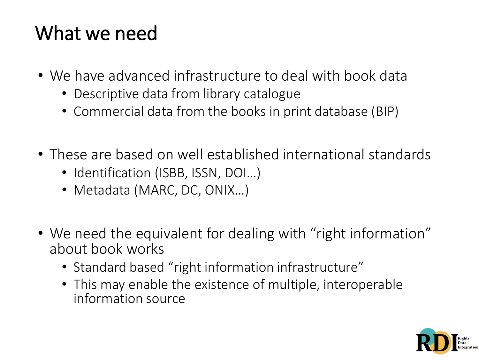# What we need

- We have advanced infrastructure to deal with book data
	- Descriptive data from library catalogue
	- Commercial data from the books in print database (BIP)
- These are based on well established international standards
	- Identification (ISBB, ISSN, DOI...)
	- Metadata (MARC, DC, ONIX…)
- We need the equivalent for dealing with "right information" about book works
	- Standard based "right information infrastructure"
	- This may enable the existence of multiple, interoperable information source

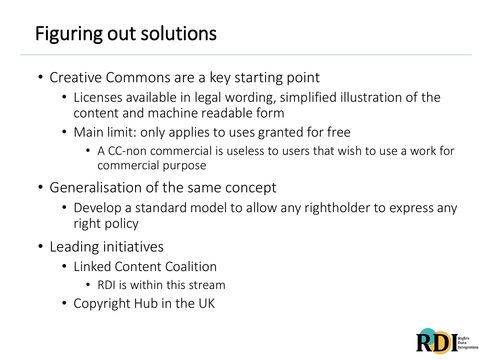## Figuring out solutions

- Creative Commons are a key starting point
	- Licenses available in legal wording, simplified illustration of the content and machine readable form
	- Main limit: only applies to uses granted for free
		- A CC-non commercial is useless to users that wish to use a work for commercial purpose
- Generalisation of the same concept
	- Develop a standard model to allow any rightholder to express any right policy
- Leading initiatives
	- Linked Content Coalition
		- RDI is within this stream
	- Copyright Hub in the UK

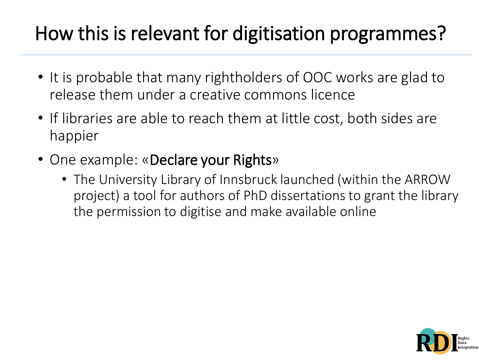## How this is relevant for digitisation programmes?

- It is probable that many rightholders of OOC works are glad to release them under a creative commons licence
- If libraries are able to reach them at little cost, both sides are happier
- One example: «Declare your Rights»
	- The University Library of Innsbruck launched (within the ARROW project) a tool for authors of PhD dissertations to grant the library the permission to digitise and make available online

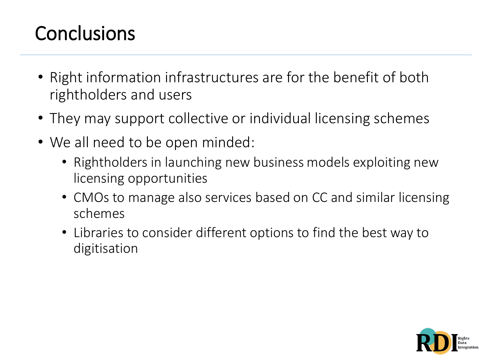## **Conclusions**

- Right information infrastructures are for the benefit of both rightholders and users
- They may support collective or individual licensing schemes
- We all need to be open minded:
	- Rightholders in launching new business models exploiting new licensing opportunities
	- CMOs to manage also services based on CC and similar licensing schemes
	- Libraries to consider different options to find the best way to digitisation